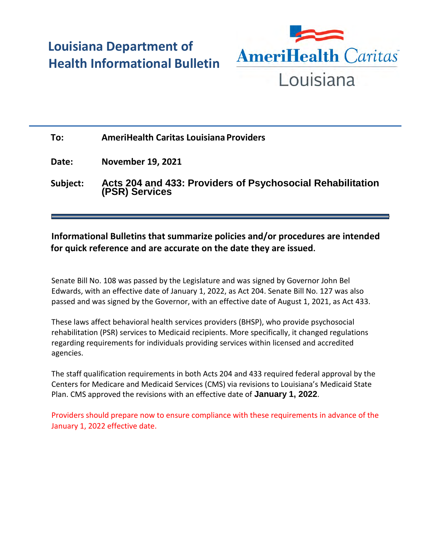# **Louisiana Department of Health Informational Bulletin**



## **To: AmeriHealth Caritas Louisiana Providers**

**Date: November 19, 2021**

**Subject: Acts 204 and 433: Providers of Psychosocial Rehabilitation (PSR) Services**

### **Informational Bulletins that summarize policies and/or procedures are intended for quick reference and are accurate on the date they are issued.**

Senate Bill No. 108 was passed by the Legislature and was signed by Governor John Bel Edwards, with an effective date of January 1, 2022, as Act 204. Senate Bill No. 127 was also passed and was signed by the Governor, with an effective date of August 1, 2021, as Act 433.

These laws affect behavioral health services providers (BHSP), who provide psychosocial rehabilitation (PSR) services to Medicaid recipients. More specifically, it changed regulations regarding requirements for individuals providing services within licensed and accredited agencies.

The staff qualification requirements in both Acts 204 and 433 required federal approval by the Centers for Medicare and Medicaid Services (CMS) via revisions to Louisiana's Medicaid State Plan. CMS approved the revisions with an effective date of **January 1, 2022**.

Providers should prepare now to ensure compliance with these requirements in advance of the January 1, 2022 effective date.